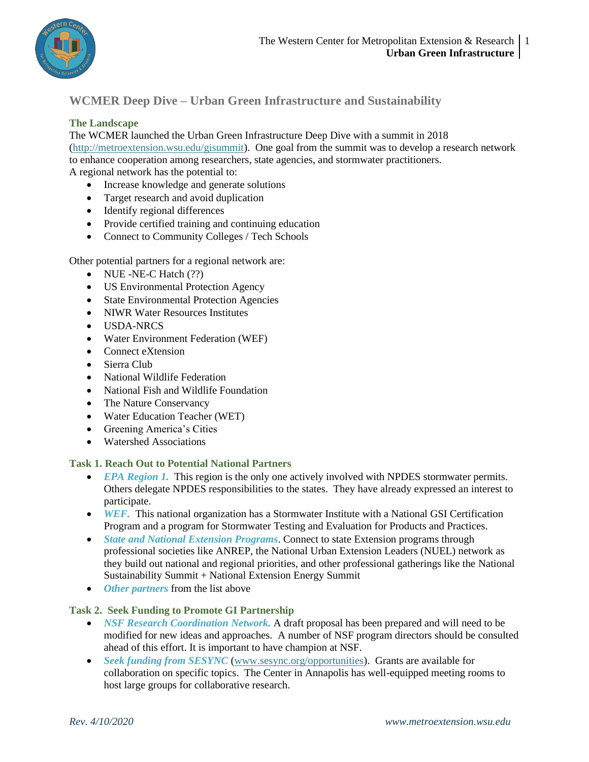

## **WCMER Deep Dive – Urban Green Infrastructure and Sustainability**

## **The Landscape**

The WCMER launched the Urban Green Infrastructure Deep Dive with a summit in 2018 [\(http://metroextension.wsu.edu/gisummit\)](http://metroextension.wsu.edu/gisummit). One goal from the summit was to develop a research network to enhance cooperation among researchers, state agencies, and stormwater practitioners. A regional network has the potential to:

- Increase knowledge and generate solutions
- Target research and avoid duplication
- Identify regional differences
- Provide certified training and continuing education
- Connect to Community Colleges / Tech Schools

Other potential partners for a regional network are:

- NUE -NE-C Hatch (??)
- US Environmental Protection Agency
- State Environmental Protection Agencies
- NIWR Water Resources Institutes
- USDA-NRCS
- Water Environment Federation (WEF)
- Connect eXtension
- Sierra Club
- National Wildlife Federation
- National Fish and Wildlife Foundation
- The Nature Conservancy
- Water Education Teacher (WET)
- Greening America's Cities
- Watershed Associations

## **Task 1. Reach Out to Potential National Partners**

- *EPA Region 1*. This region is the only one actively involved with NPDES stormwater permits. Others delegate NPDES responsibilities to the states. They have already expressed an interest to participate.
- *WEF.* This national organization has a Stormwater Institute with a National GSI Certification Program and a program for Stormwater Testing and Evaluation for Products and Practices.
- *State and National Extension Programs*. Connect to state Extension programs through professional societies like ANREP, the National Urban Extension Leaders (NUEL) network as they build out national and regional priorities, and other professional gatherings like the National Sustainability Summit + National Extension Energy Summit
- *Other partners* from the list above

## **Task 2. Seek Funding to Promote GI Partnership**

- *NSF Research Coordination Network.* A draft proposal has been prepared and will need to be modified for new ideas and approaches. A number of NSF program directors should be consulted ahead of this effort. It is important to have champion at NSF.
- *Seek funding from SESYNC* [\(www.sesync.org/opportunities\)](http://www.sesync.org/opportunities). Grants are available for collaboration on specific topics. The Center in Annapolis has well-equipped meeting rooms to host large groups for collaborative research.